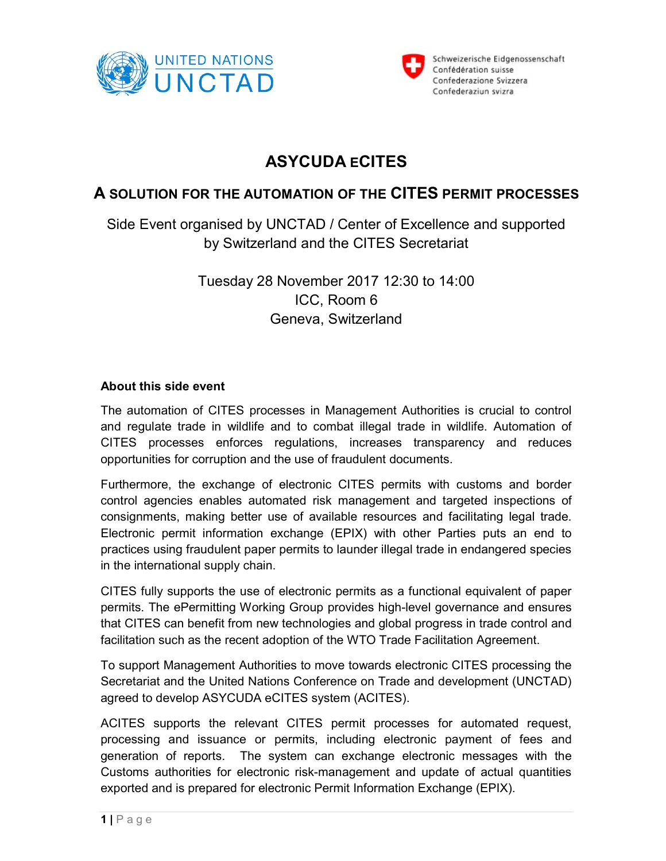



## ASYCUDA ECITES

## A SOLUTION FOR THE AUTOMATION OF THE CITES PERMIT PROCESSES

Side Event organised by UNCTAD / Center of Excellence and supported by Switzerland and the CITES Secretariat

> Tuesday 28 November 2017 12:30 to 14:00 ICC, Room 6 Geneva, Switzerland

## About this side event

The automation of CITES processes in Management Authorities is crucial to control and regulate trade in wildlife and to combat illegal trade in wildlife. Automation of CITES processes enforces regulations, increases transparency and reduces opportunities for corruption and the use of fraudulent documents.

Furthermore, the exchange of electronic CITES permits with customs and border control agencies enables automated risk management and targeted inspections of consignments, making better use of available resources and facilitating legal trade. Electronic permit information exchange (EPIX) with other Parties puts an end to practices using fraudulent paper permits to launder illegal trade in endangered species in the international supply chain.

CITES fully supports the use of electronic permits as a functional equivalent of paper permits. The ePermitting Working Group provides high-level governance and ensures that CITES can benefit from new technologies and global progress in trade control and facilitation such as the recent adoption of the WTO Trade Facilitation Agreement.

To support Management Authorities to move towards electronic CITES processing the Secretariat and the United Nations Conference on Trade and development (UNCTAD) agreed to develop ASYCUDA eCITES system (ACITES).

ACITES supports the relevant CITES permit processes for automated request, processing and issuance or permits, including electronic payment of fees and generation of reports. The system can exchange electronic messages with the Customs authorities for electronic risk-management and update of actual quantities exported and is prepared for electronic Permit Information Exchange (EPIX).